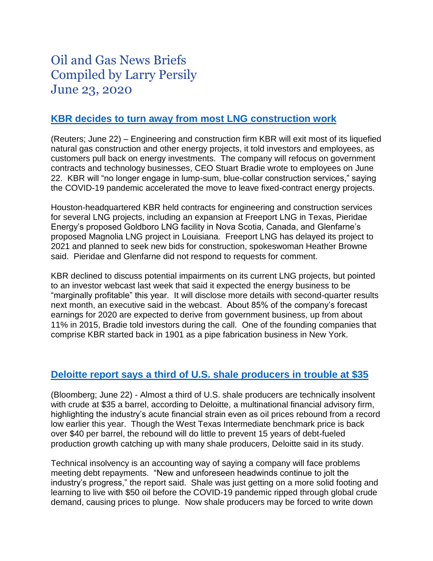# Oil and Gas News Briefs Compiled by Larry Persily June 23, 2020

## **[KBR decides to turn away from most LNG construction work](https://www.reuters.com/article/us-usa-lng-kbr/kbr-to-focus-on-government-contracts-quit-natural-gas-energy-business-idUSKBN23T39C)**

(Reuters; June 22) – Engineering and construction firm KBR will exit most of its liquefied natural gas construction and other energy projects, it told investors and employees, as customers pull back on energy investments. The company will refocus on government contracts and technology businesses, CEO Stuart Bradie wrote to employees on June 22. KBR will "no longer engage in lump-sum, blue-collar construction services," saying the COVID-19 pandemic accelerated the move to leave fixed-contract energy projects.

Houston-headquartered KBR held contracts for engineering and construction services for several LNG projects, including an expansion at Freeport LNG in Texas, Pieridae Energy's proposed Goldboro LNG facility in Nova Scotia, Canada, and Glenfarne's proposed Magnolia LNG project in Louisiana. Freeport LNG has delayed its project to 2021 and planned to seek new bids for construction, spokeswoman Heather Browne said. Pieridae and Glenfarne did not respond to requests for comment.

KBR declined to discuss potential impairments on its current LNG projects, but pointed to an investor webcast last week that said it expected the energy business to be "marginally profitable" this year. It will disclose more details with second-quarter results next month, an executive said in the webcast. About 85% of the company's forecast earnings for 2020 are expected to derive from government business, up from about 11% in 2015, Bradie told investors during the call. One of the founding companies that comprise KBR started back in 1901 as a pipe fabrication business in New York.

## **[Deloitte report says a third of U.S. shale producers in trouble at \\$35](https://www.msn.com/en-us/finance/markets/third-of-us-shale-near-technical-insolvency-deloitte-says/ar-BB15PPQM)**

(Bloomberg; June 22) - Almost a third of U.S. shale producers are technically insolvent with crude at \$35 a barrel, according to Deloitte, a multinational financial advisory firm, highlighting the industry's acute financial strain even as oil prices rebound from a record low earlier this year. Though the West Texas Intermediate benchmark price is back over \$40 per barrel, the rebound will do little to prevent 15 years of debt-fueled production growth catching up with many shale producers, Deloitte said in its study.

Technical insolvency is an accounting way of saying a company will face problems meeting debt repayments. "New and unforeseen headwinds continue to jolt the industry's progress," the report said. Shale was just getting on a more solid footing and learning to live with \$50 oil before the COVID-19 pandemic ripped through global crude demand, causing prices to plunge. Now shale producers may be forced to write down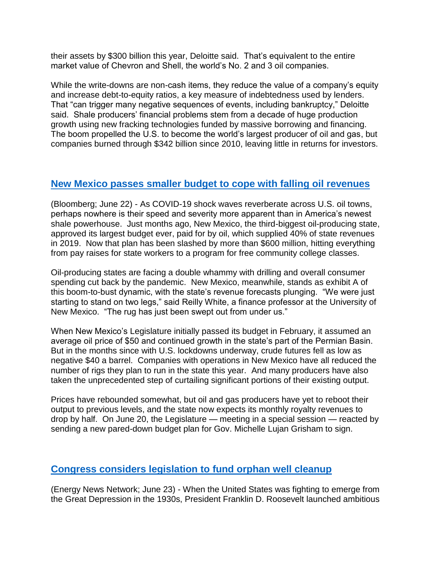their assets by \$300 billion this year, Deloitte said. That's equivalent to the entire market value of Chevron and Shell, the world's No. 2 and 3 oil companies.

While the write-downs are non-cash items, they reduce the value of a company's equity and increase debt-to-equity ratios, a key measure of indebtedness used by lenders. That "can trigger many negative sequences of events, including bankruptcy," Deloitte said. Shale producers' financial problems stem from a decade of huge production growth using new fracking technologies funded by massive borrowing and financing. The boom propelled the U.S. to become the world's largest producer of oil and gas, but companies burned through \$342 billion since 2010, leaving little in returns for investors.

## **[New Mexico passes smaller budget to cope with falling](https://www.worldoil.com/news/2020/6/22/volatile-oil-prices-hamper-new-mexico-s-plan-to-dominate-us-shale) oil revenues**

(Bloomberg; June 22) - As COVID-19 shock waves reverberate across U.S. oil towns, perhaps nowhere is their speed and severity more apparent than in America's newest shale powerhouse. Just months ago, New Mexico, the third-biggest oil-producing state, approved its largest budget ever, paid for by oil, which supplied 40% of state revenues in 2019. Now that plan has been slashed by more than \$600 million, hitting everything from pay raises for state workers to a program for free community college classes.

Oil-producing states are facing a double whammy with drilling and overall consumer spending cut back by the pandemic. New Mexico, meanwhile, stands as exhibit A of this boom-to-bust dynamic, with the state's revenue forecasts plunging. "We were just starting to stand on two legs," said Reilly White, a finance professor at the University of New Mexico. "The rug has just been swept out from under us."

When New Mexico's Legislature initially passed its budget in February, it assumed an average oil price of \$50 and continued growth in the state's part of the Permian Basin. But in the months since with U.S. lockdowns underway, crude futures fell as low as negative \$40 a barrel. Companies with operations in New Mexico have all reduced the number of rigs they plan to run in the state this year. And many producers have also taken the unprecedented step of curtailing significant portions of their existing output.

Prices have rebounded somewhat, but oil and gas producers have yet to reboot their output to previous levels, and the state now expects its monthly royalty revenues to drop by half. On June 20, the Legislature — meeting in a special session — reacted by sending a new pared-down budget plan for Gov. Michelle Lujan Grisham to sign.

## **[Congress considers legislation to fund orphan well cleanup](https://energynews.us/2020/06/23/national/support-grows-for-taxpayer-funded-oil-well-cleanup-as-an-economic-stimulus/)**

(Energy News Network; June 23) - When the United States was fighting to emerge from the Great Depression in the 1930s, President Franklin D. Roosevelt launched ambitious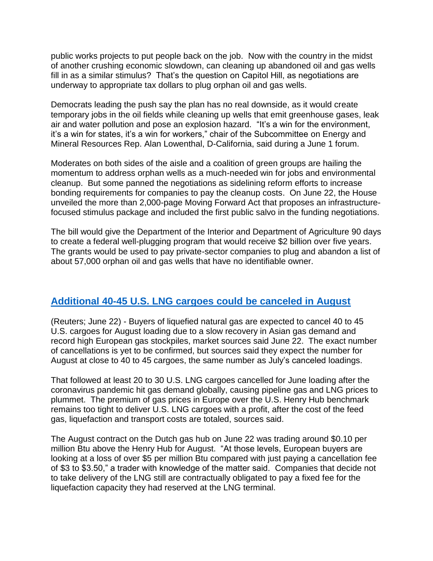public works projects to put people back on the job. Now with the country in the midst of another crushing economic slowdown, can cleaning up abandoned oil and gas wells fill in as a similar stimulus? That's the question on Capitol Hill, as negotiations are underway to appropriate tax dollars to plug orphan oil and gas wells.

Democrats leading the push say the plan has no real downside, as it would create temporary jobs in the oil fields while cleaning up wells that emit greenhouse gases, leak air and water pollution and pose an explosion hazard. "It's a win for the environment, it's a win for states, it's a win for workers," chair of the Subcommittee on Energy and Mineral Resources Rep. Alan Lowenthal, D-California, said during a June 1 forum.

Moderates on both sides of the aisle and a coalition of green groups are hailing the momentum to address orphan wells as a much-needed win for jobs and environmental cleanup. But some panned the negotiations as sidelining reform efforts to increase bonding requirements for companies to pay the cleanup costs. On June 22, the House unveiled the more than 2,000-page Moving Forward Act that proposes an infrastructurefocused stimulus package and included the first public salvo in the funding negotiations.

The bill would give the Department of the Interior and Department of Agriculture 90 days to create a federal well-plugging program that would receive \$2 billion over five years. The grants would be used to pay private-sector companies to plug and abandon a list of about 57,000 orphan oil and gas wells that have no identifiable owner.

## **[Additional 40-45 U.S. LNG cargoes could be canceled in August](https://in.reuters.com/article/usa-lng-trade/update-1-buyers-of-us-lng-to-cancel-40-45-cargoes-for-august-loading-sources-idINL8N2DZ4JC)**

(Reuters; June 22) - Buyers of liquefied natural gas are expected to cancel 40 to 45 U.S. cargoes for August loading due to a slow recovery in Asian gas demand and record high European gas stockpiles, market sources said June 22. The exact number of cancellations is yet to be confirmed, but sources said they expect the number for August at close to 40 to 45 cargoes, the same number as July's canceled loadings.

That followed at least 20 to 30 U.S. LNG cargoes cancelled for June loading after the coronavirus pandemic hit gas demand globally, causing pipeline gas and LNG prices to plummet. The premium of gas prices in Europe over the U.S. Henry Hub benchmark remains too tight to deliver U.S. LNG cargoes with a profit, after the cost of the feed gas, liquefaction and transport costs are totaled, sources said.

The August contract on the Dutch gas hub on June 22 was trading around \$0.10 per million Btu above the Henry Hub for August. "At those levels, European buyers are looking at a loss of over \$5 per million Btu compared with just paying a cancellation fee of \$3 to \$3.50," a trader with knowledge of the matter said. Companies that decide not to take delivery of the LNG still are contractually obligated to pay a fixed fee for the liquefaction capacity they had reserved at the LNG terminal.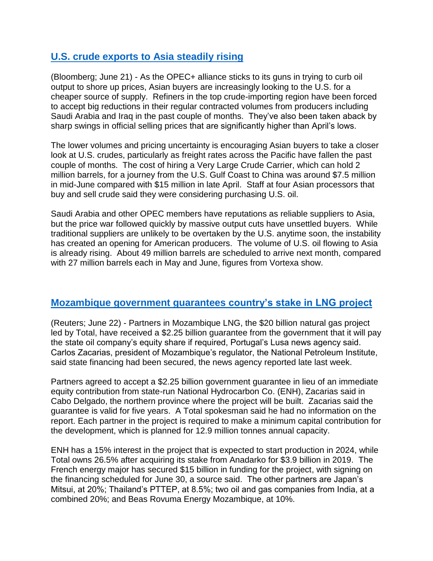## **[U.S. crude exports to Asia steadily rising](https://www.bloomberg.com/news/articles/2020-06-21/asian-buyers-turn-to-u-s-oil-amid-uncertain-flows-from-opec?sref=wLQ557VG)**

(Bloomberg; June 21) - As the OPEC+ alliance sticks to its guns in trying to curb oil output to shore up prices, Asian buyers are increasingly looking to the U.S. for a cheaper source of supply. Refiners in the top crude-importing region have been forced to accept big reductions in their regular contracted volumes from producers including Saudi Arabia and Iraq in the past couple of months. They've also been taken aback by sharp swings in official selling prices that are significantly higher than April's lows.

The lower volumes and pricing uncertainty is encouraging Asian buyers to take a closer look at U.S. crudes, particularly as freight rates across the Pacific have fallen the past couple of months. The cost of hiring a Very Large Crude Carrier, which can hold 2 million barrels, for a journey from the U.S. Gulf Coast to China was around \$7.5 million in mid-June compared with \$15 million in late April. Staff at four Asian processors that buy and sell crude said they were considering purchasing U.S. oil.

Saudi Arabia and other OPEC members have reputations as reliable suppliers to Asia, but the price war followed quickly by massive output cuts have unsettled buyers. While traditional suppliers are unlikely to be overtaken by the U.S. anytime soon, the instability has created an opening for American producers. The volume of U.S. oil flowing to Asia is already rising. About 49 million barrels are scheduled to arrive next month, compared with 27 million barrels each in May and June, figures from Vortexa show.

## **[Mozambique government guarantees](https://af.reuters.com/article/investingNews/idAFKBN23T1OG-OZABS) country's stake in LNG project**

(Reuters; June 22) - Partners in Mozambique LNG, the \$20 billion natural gas project led by Total, have received a \$2.25 billion guarantee from the government that it will pay the state oil company's equity share if required, Portugal's Lusa news agency said. Carlos Zacarias, president of Mozambique's regulator, the National Petroleum Institute, said state financing had been secured, the news agency reported late last week.

Partners agreed to accept a \$2.25 billion government guarantee in lieu of an immediate equity contribution from state-run National Hydrocarbon Co. (ENH), Zacarias said in Cabo Delgado, the northern province where the project will be built. Zacarias said the guarantee is valid for five years. A Total spokesman said he had no information on the report. Each partner in the project is required to make a minimum capital contribution for the development, which is planned for 12.9 million tonnes annual capacity.

ENH has a 15% interest in the project that is expected to start production in 2024, while Total owns 26.5% after acquiring its stake from Anadarko for \$3.9 billion in 2019. The French energy major has secured \$15 billion in funding for the project, with signing on the financing scheduled for June 30, a source said. The other partners are Japan's Mitsui, at 20%; Thailand's PTTEP, at 8.5%; two oil and gas companies from India, at a combined 20%; and Beas Rovuma Energy Mozambique, at 10%.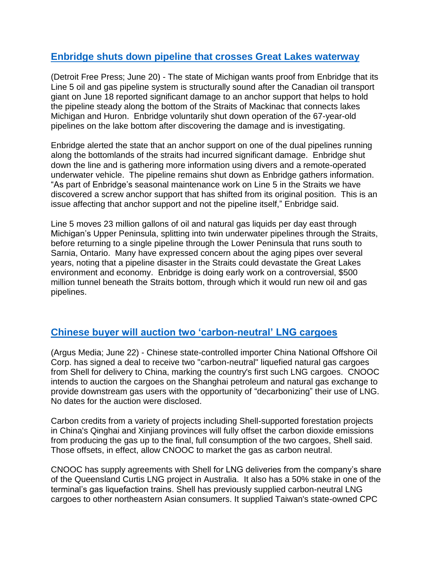## **[Enbridge shuts down pipeline that crosses Great Lakes waterway](https://www.heraldmailmedia.com/news/nation/michigan-governor-questions-enbridge-ceo-about-new-oil-pipeline-damage/article_e7d38143-070e-544b-bddf-4c8e9d17d108.html)**

(Detroit Free Press; June 20) - The state of Michigan wants proof from Enbridge that its Line 5 oil and gas pipeline system is structurally sound after the Canadian oil transport giant on June 18 reported significant damage to an anchor support that helps to hold the pipeline steady along the bottom of the Straits of Mackinac that connects lakes Michigan and Huron. Enbridge voluntarily shut down operation of the 67-year-old pipelines on the lake bottom after discovering the damage and is investigating.

Enbridge alerted the state that an anchor support on one of the dual pipelines running along the bottomlands of the straits had incurred significant damage. Enbridge shut down the line and is gathering more information using divers and a remote-operated underwater vehicle. The pipeline remains shut down as Enbridge gathers information. "As part of Enbridge's seasonal maintenance work on Line 5 in the Straits we have discovered a screw anchor support that has shifted from its original position. This is an issue affecting that anchor support and not the pipeline itself," Enbridge said.

Line 5 moves 23 million gallons of oil and natural gas liquids per day east through Michigan's Upper Peninsula, splitting into twin underwater pipelines through the Straits, before returning to a single pipeline through the Lower Peninsula that runs south to Sarnia, Ontario. Many have expressed concern about the aging pipes over several years, noting that a pipeline disaster in the Straits could devastate the Great Lakes environment and economy. Enbridge is doing early work on a controversial, \$500 million tunnel beneath the Straits bottom, through which it would run new oil and gas pipelines.

## **[Chinese buyer will auction two 'carbon-neutral' LNG cargoes](https://www.argusmedia.com/en/news/2116490-cnooc-buys-carbon-neutral-lng-cargoes-from-shell)**

(Argus Media; June 22) - Chinese state-controlled importer China National Offshore Oil Corp. has signed a deal to receive two "carbon-neutral" liquefied natural gas cargoes from Shell for delivery to China, marking the country's first such LNG cargoes. CNOOC intends to auction the cargoes on the Shanghai petroleum and natural gas exchange to provide downstream gas users with the opportunity of "decarbonizing" their use of LNG. No dates for the auction were disclosed.

Carbon credits from a variety of projects including Shell-supported forestation projects in China's Qinghai and Xinjiang provinces will fully offset the carbon dioxide emissions from producing the gas up to the final, full consumption of the two cargoes, Shell said. Those offsets, in effect, allow CNOOC to market the gas as carbon neutral.

CNOOC has supply agreements with Shell for LNG deliveries from the company's share of the Queensland Curtis LNG project in Australia. It also has a 50% stake in one of the terminal's gas liquefaction trains. Shell has previously supplied carbon-neutral LNG cargoes to other northeastern Asian consumers. It supplied Taiwan's state-owned CPC